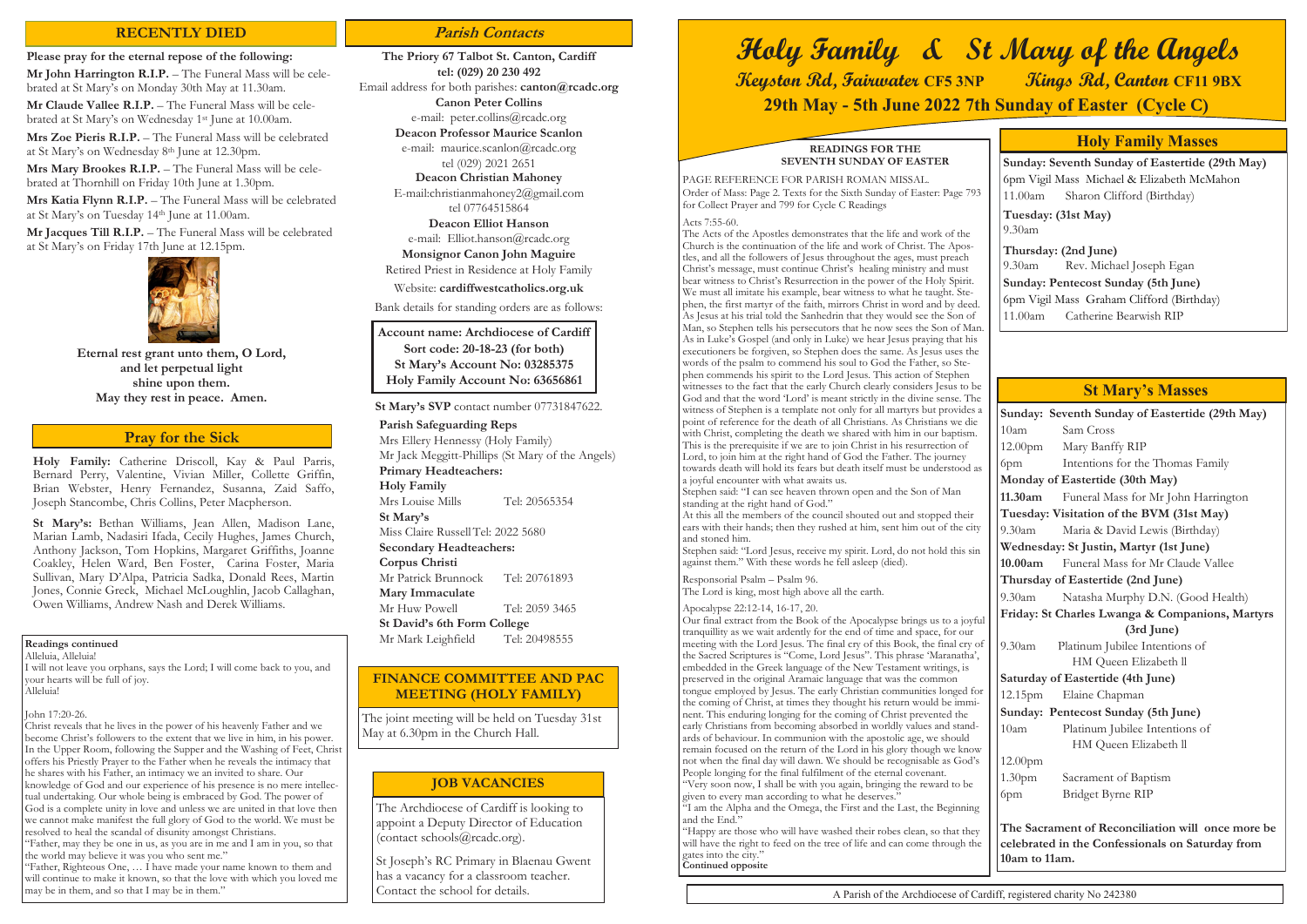**Holy Family:** Catherine Driscoll, Kay & Paul Parris, Bernard Perry, Valentine, Vivian Miller, Collette Griffin, Brian Webster, Henry Fernandez, Susanna, Zaid Saffo, Joseph Stancombe, Chris Collins, Peter Macpherson.

I will not leave you orphans, says the Lord; I will come back to you, and your hearts will be full of joy. .<br>Alleluia!

**St Mary's:** Bethan Williams, Jean Allen, Madison Lane, Marian Lamb, Nadasiri Ifada, Cecily Hughes, James Church, Anthony Jackson, Tom Hopkins, Margaret Griffiths, Joanne Coakley, Helen Ward, Ben Foster, Carina Foster, Maria Sullivan, Mary D'Alpa, Patricia Sadka, Donald Rees, Martin Jones, Connie Greck, Michael McLoughlin, Jacob Callaghan, Owen Williams, Andrew Nash and Derek Williams.

#### **Pray for the Sick**

#### **Readings continued**

Alleluia, Alleluia!

#### John 17:20-26.

Christ reveals that he lives in the power of his heavenly Father and we become Christ's followers to the extent that we live in him, in his power. In the Upper Room, following the Supper and the Washing of Feet, Christ offers his Priestly Prayer to the Father when he reveals the intimacy that he shares with his Father, an intimacy we an invited to share. Our knowledge of God and our experience of his presence is no mere intellectual undertaking. Our whole being is embraced by God. The power of God is a complete unity in love and unless we are united in that love then we cannot make manifest the full glory of God to the world. We must be resolved to heal the scandal of disunity amongst Christians.

"Father, may they be one in us, as you are in me and I am in you, so that the world may believe it was you who sent me."

"Father, Righteous One, … I have made your name known to them and will continue to make it known, so that the love with which you loved me may be in them, and so that I may be in them."

#### **READINGS FOR THE SEVENTH SUNDAY OF EASTER**

PAGE REFERENCE FOR PARISH ROMAN MISSAL. Order of Mass: Page 2. Texts for the Sixth Sunday of Easter: Page 793 for Collect Prayer and 799 for Cycle C Readings

Acts 7:55-60.

The Acts of the Apostles demonstrates that the life and work of the Church is the continuation of the life and work of Christ. The Apostles, and all the followers of Jesus throughout the ages, must preach Christ's message, must continue Christ's healing ministry and must bear witness to Christ's Resurrection in the power of the Holy Spirit. We must all imitate his example, bear witness to what he taught. Stephen, the first martyr of the faith, mirrors Christ in word and by deed. As Jesus at his trial told the Sanhedrin that they would see the Son of Man, so Stephen tells his persecutors that he now sees the Son of Man. As in Luke's Gospel (and only in Luke) we hear Jesus praying that his executioners be forgiven, so Stephen does the same. As Jesus uses the words of the psalm to commend his soul to God the Father, so Stephen commends his spirit to the Lord Jesus. This action of Stephen witnesses to the fact that the early Church clearly considers Jesus to be God and that the word 'Lord' is meant strictly in the divine sense. The witness of Stephen is a template not only for all martyrs but provides a point of reference for the death of all Christians. As Christians we die with Christ, completing the death we shared with him in our baptism. This is the prerequisite if we are to join Christ in his resurrection of Lord, to join him at the right hand of God the Father. The journey towards death will hold its fears but death itself must be understood as a joyful encounter with what awaits us.

**Mr John Harrington R.I.P.** – The Funeral Mass will be celebrated at St Mary's on Monday 30th May at 11.30am.

**Mr Claude Vallee R.I.P.** – The Funeral Mass will be celebrated at St Mary's on Wednesday 1st June at 10.00am.

> Stephen said: "I can see heaven thrown open and the Son of Man standing at the right hand of God."

**Mrs Mary Brookes R.I.P.** – The Funeral Mass will be celebrated at Thornhill on Friday 10th June at 1.30pm.

> At this all the members of the council shouted out and stopped their ears with their hands; then they rushed at him, sent him out of the city and stoned him.

**Mr Jacques Till R.I.P.** – The Funeral Mass will be celebrated at St Mary's on Friday 17th June at 12.15pm.



Stephen said: "Lord Jesus, receive my spirit. Lord, do not hold this sin against them." With these words he fell asleep (died).

Responsorial Psalm – Psalm 96. The Lord is king, most high above all the earth.

#### Apocalypse 22:12-14, 16-17, 20.

**Parish Safeguarding Reps**  Mrs Ellery Hennessy (Holy Family) Mr Jack Meggitt-Phillips (St Mary of the Angels) **Primary Headteachers: Holy Family** Mrs Louise Mills Tel: 20565354 **St Mary's** Miss Claire RussellTel: 2022 5680 **Secondary Headteachers: Corpus Christi** Mr Patrick Brunnock Tel: 20761893 **Mary Immaculate** Mr Huw Powell Tel: 2059 3465 **St David's 6th Form College** Mr Mark Leighfield Tel: 20498555

Our final extract from the Book of the Apocalypse brings us to a joyful tranquillity as we wait ardently for the end of time and space, for our meeting with the Lord Jesus. The final cry of this Book, the final cry of the Sacred Scriptures is "Come, Lord Jesus". This phrase 'Maranatha', embedded in the Greek language of the New Testament writings, is preserved in the original Aramaic language that was the common tongue employed by Jesus. The early Christian communities longed for the coming of Christ, at times they thought his return would be imminent. This enduring longing for the coming of Christ prevented the early Christians from becoming absorbed in worldly values and standards of behaviour. In communion with the apostolic age, we should remain focused on the return of the Lord in his glory though we know not when the final day will dawn. We should be recognisable as God's People longing for the final fulfilment of the eternal covenant. "Very soon now, I shall be with you again, bringing the reward to be given to every man according to what he deserves."

"I am the Alpha and the Omega, the First and the Last, the Beginning and the End."

"Happy are those who will have washed their robes clean, so that they will have the right to feed on the tree of life and can come through the gates into the city." **Continued opposite**

| Sunday: Seventh Sunday of Eastertide (29th May)   |                                     |  |  |  |  |
|---------------------------------------------------|-------------------------------------|--|--|--|--|
| 10am                                              | Sam Cross                           |  |  |  |  |
| 12.00 <sub>pm</sub>                               | Mary Banffy RIP                     |  |  |  |  |
| 6pm                                               | Intentions for the Thomas Family    |  |  |  |  |
| Monday of Eastertide (30th May)                   |                                     |  |  |  |  |
| 11.30am                                           | Funeral Mass for Mr John Harrington |  |  |  |  |
| Tuesday: Visitation of the BVM (31st May)         |                                     |  |  |  |  |
| $9.30$ am                                         | Maria & David Lewis (Birthday)      |  |  |  |  |
| Wednesday: St Justin, Martyr (1st June)           |                                     |  |  |  |  |
| 10.00am                                           | Funeral Mass for Mr Claude Vallee   |  |  |  |  |
| Thursday of Eastertide (2nd June)                 |                                     |  |  |  |  |
| $9.30$ am                                         | Natasha Murphy D.N. (Good Health)   |  |  |  |  |
| Friday: St Charles Lwanga & Companions, Martyrs   |                                     |  |  |  |  |
|                                                   | (3rd June)                          |  |  |  |  |
| 9.30am                                            | Platinum Jubilee Intentions of      |  |  |  |  |
|                                                   | HM Queen Elizabeth ll               |  |  |  |  |
| Saturday of Eastertide (4th June)                 |                                     |  |  |  |  |
| 12.15 <sub>pm</sub>                               | Elaine Chapman                      |  |  |  |  |
| Sunday: Pentecost Sunday (5th June)               |                                     |  |  |  |  |
| 10am                                              | Platinum Jubilee Intentions of      |  |  |  |  |
|                                                   | HM Queen Elizabeth ll               |  |  |  |  |
| 12.00pm                                           |                                     |  |  |  |  |
| 1.30 <sub>pm</sub>                                | Sacrament of Baptism                |  |  |  |  |
| 6pm                                               | Bridget Byrne RIP                   |  |  |  |  |
|                                                   |                                     |  |  |  |  |
| The Sacrament of Reconciliation will once more be |                                     |  |  |  |  |
| celebrated in the Confessionals on Saturday from  |                                     |  |  |  |  |
| 10am to 11am.                                     |                                     |  |  |  |  |

# **St Mary's Masses**

**Sunday: Seventh Sunday of Eastertide (29th May)** 6pm Vigil Mass Michael & Elizabeth McMahon 11.00am Sharon Clifford (Birthday)

**Tuesday: (31st May)**  9.30am

**Thursday: (2nd June)** 9.30am Rev. Michael Joseph Egan **Sunday: Pentecost Sunday (5th June)** 6pm Vigil Mass Graham Clifford (Birthday) 11.00am Catherine Bearwish RIP

# **Holy Family Masses**

# **Holy Family & St Mary of the Angels Keyston Rd, Fairwater CF5 3NP Kings Rd, Canton CF11 9BX 29th May - 5th June 2022 7th Sunday of Easter (Cycle C)**

# **RECENTLY DIED Parish Contacts**

#### **Please pray for the eternal repose of the following:**

**Mrs Zoe Pieris R.I.P.** – The Funeral Mass will be celebrated at St Mary's on Wednesday 8th June at 12.30pm.

**Mrs Katia Flynn R.I.P.** – The Funeral Mass will be celebrated at St Mary's on Tuesday 14th June at 11.00am.

> **Eternal rest grant unto them, O Lord, and let perpetual light shine upon them. May they rest in peace. Amen.**

**The Priory 67 Talbot St. Canton, Cardiff tel: (029) 20 230 492** Email address for both parishes: **canton@rcadc.org Canon Peter Collins**

e-mail: peter.collins@rcadc.org **Deacon Professor Maurice Scanlon**

e-mail: maurice.scanlon@rcadc.org

tel (029) 2021 2651

**Deacon Christian Mahoney**

E-mail:christianmahoney2@gmail.com tel 07764515864

**Deacon Elliot Hanson**

e-mail: Elliot.hanson@rcadc.org

**Monsignor Canon John Maguire**

Retired Priest in Residence at Holy Family

Website: **cardiffwestcatholics.org.uk**

Bank details for standing orders are as follows:

**St Mary's SVP** contact number 07731847622.

**Account name: Archdiocese of Cardiff Sort code: 20-18-23 (for both) St Mary's Account No: 03285375 Holy Family Account No: 63656861**

The Archdiocese of Cardiff is looking to appoint a Deputy Director of Education (contact schools@rcadc.org).

St Joseph's RC Primary in Blaenau Gwent has a vacancy for a classroom teacher. Contact the school for details.

#### **JOB VACANCIES**

The joint meeting will be held on Tuesday 31st May at 6.30pm in the Church Hall.

### **FINANCE COMMITTEE AND PAC MEETING (HOLY FAMILY)**